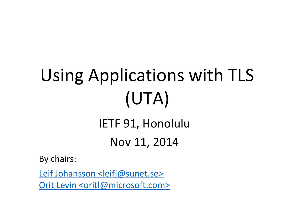## Using Applications with TLS (UTA) IETF 91, Honolulu Nov 11, 2014

By chairs:

[Leif Johansson <leifj@sunet.se>](mailto:leifj@sunet.se) [Orit Levin <oritl@microsoft.com>](mailto:oritl@microsoft.com)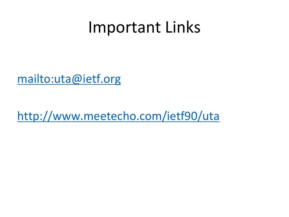## Important Links

[mailto:uta@ietf.org](http://www.meetecho.com/ietf90/uta)

<http://www.meetecho.com/ietf90/uta>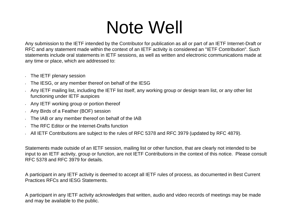## Note Well

Any submission to the IETF intended by the Contributor for publication as all or part of an IETF Internet-Draft or RFC and any statement made within the context of an IETF activity is considered an "IETF Contribution". Such statements include oral statements in IETF sessions, as well as written and electronic communications made at any time or place, which are addressed to:

- The IETF plenary session
- The IESG, or any member thereof on behalf of the IESG
- Any IETF mailing list, including the IETF list itself, any working group or design team list, or any other list functioning under IETF auspices
- Any IETF working group or portion thereof
- Any Birds of a Feather (BOF) session
- The IAB or any member thereof on behalf of the IAB
- The RFC Editor or the Internet-Drafts function
- All IETF Contributions are subject to the rules of RFC 5378 and RFC 3979 (updated by RFC 4879).

Statements made outside of an IETF session, mailing list or other function, that are clearly not intended to be input to an IETF activity, group or function, are not IETF Contributions in the context of this notice. Please consult RFC 5378 and RFC 3979 for details.

A participant in any IETF activity is deemed to accept all IETF rules of process, as documented in Best Current Practices RFCs and IESG Statements.

A participant in any IETF activity acknowledges that written, audio and video records of meetings may be made and may be available to the public.